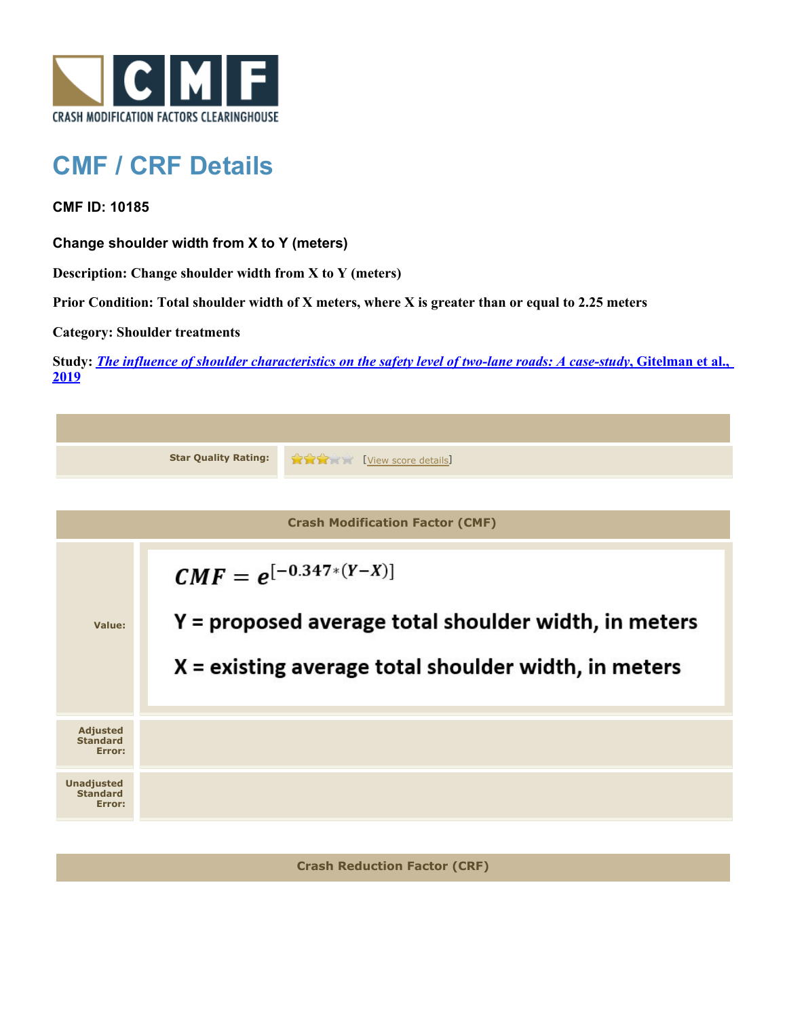

## **CMF / CRF Details**

## **CMF ID: 10185**

**Change shoulder width from X to Y (meters)**

**Description: Change shoulder width from X to Y (meters)**

**Prior Condition: Total shoulder width of X meters, where X is greater than or equal to 2.25 meters**

**Category: Shoulder treatments**

**Study:** *[The influence of shoulder characteristics on the safety level of two-lane roads: A case-study](http://www.cmfclearinghouse.org/study_detail.cfm?stid=584)***[, Gitelman et al.,](http://www.cmfclearinghouse.org/study_detail.cfm?stid=584) [2019](http://www.cmfclearinghouse.org/study_detail.cfm?stid=584)**

|                                                | <b>Star Quality Rating:</b>                                                                                                                  | <b>RATE:</b><br>[View score details] |  |  |
|------------------------------------------------|----------------------------------------------------------------------------------------------------------------------------------------------|--------------------------------------|--|--|
|                                                |                                                                                                                                              |                                      |  |  |
| <b>Crash Modification Factor (CMF)</b>         |                                                                                                                                              |                                      |  |  |
| Value:                                         | $CMF = e^{[-0.347*(Y-X)]}$<br>Y = proposed average total shoulder width, in meters<br>$X =$ existing average total shoulder width, in meters |                                      |  |  |
| <b>Adjusted</b><br><b>Standard</b><br>Error:   |                                                                                                                                              |                                      |  |  |
| <b>Unadjusted</b><br><b>Standard</b><br>Error: |                                                                                                                                              |                                      |  |  |
|                                                |                                                                                                                                              |                                      |  |  |
| <b>Crash Reduction Factor (CRF)</b>            |                                                                                                                                              |                                      |  |  |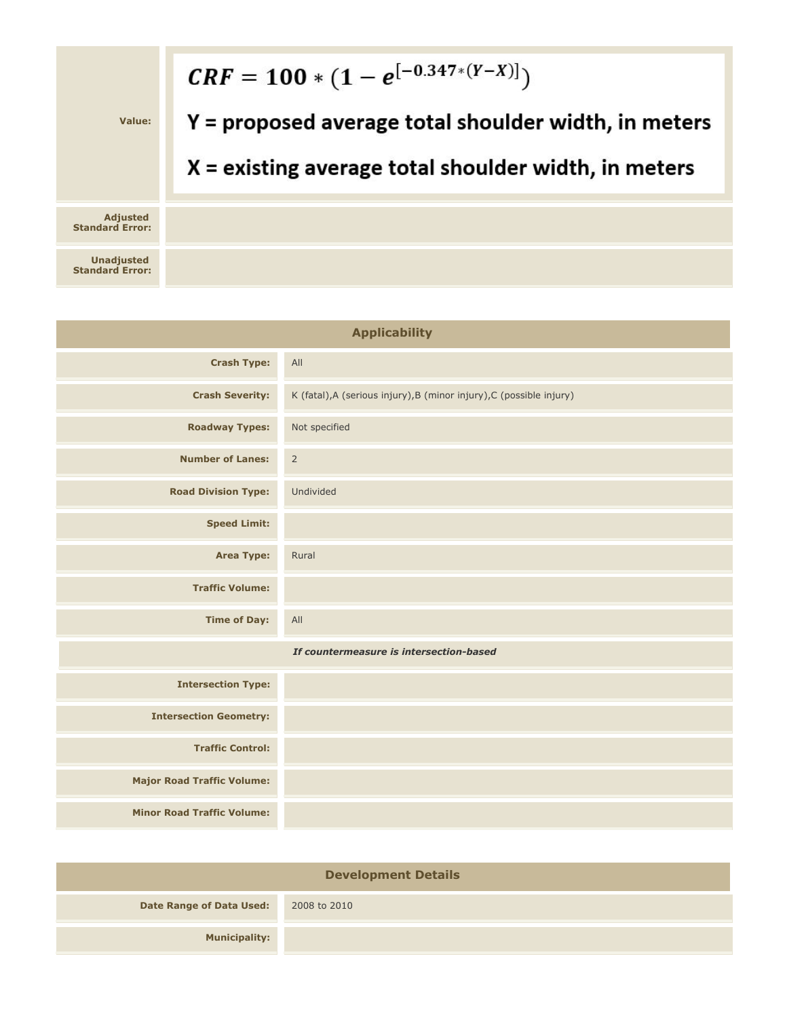

| <b>Applicability</b>                    |                                                                      |  |
|-----------------------------------------|----------------------------------------------------------------------|--|
| <b>Crash Type:</b>                      | All                                                                  |  |
| <b>Crash Severity:</b>                  | K (fatal), A (serious injury), B (minor injury), C (possible injury) |  |
| <b>Roadway Types:</b>                   | Not specified                                                        |  |
| <b>Number of Lanes:</b>                 | $\overline{2}$                                                       |  |
| <b>Road Division Type:</b>              | Undivided                                                            |  |
| <b>Speed Limit:</b>                     |                                                                      |  |
| <b>Area Type:</b>                       | Rural                                                                |  |
| <b>Traffic Volume:</b>                  |                                                                      |  |
| <b>Time of Day:</b>                     | All                                                                  |  |
| If countermeasure is intersection-based |                                                                      |  |
| <b>Intersection Type:</b>               |                                                                      |  |
| <b>Intersection Geometry:</b>           |                                                                      |  |
| <b>Traffic Control:</b>                 |                                                                      |  |
| <b>Major Road Traffic Volume:</b>       |                                                                      |  |
| <b>Minor Road Traffic Volume:</b>       |                                                                      |  |

| <b>Development Details</b>      |              |  |  |
|---------------------------------|--------------|--|--|
| <b>Date Range of Data Used:</b> | 2008 to 2010 |  |  |
| <b>Municipality:</b>            |              |  |  |